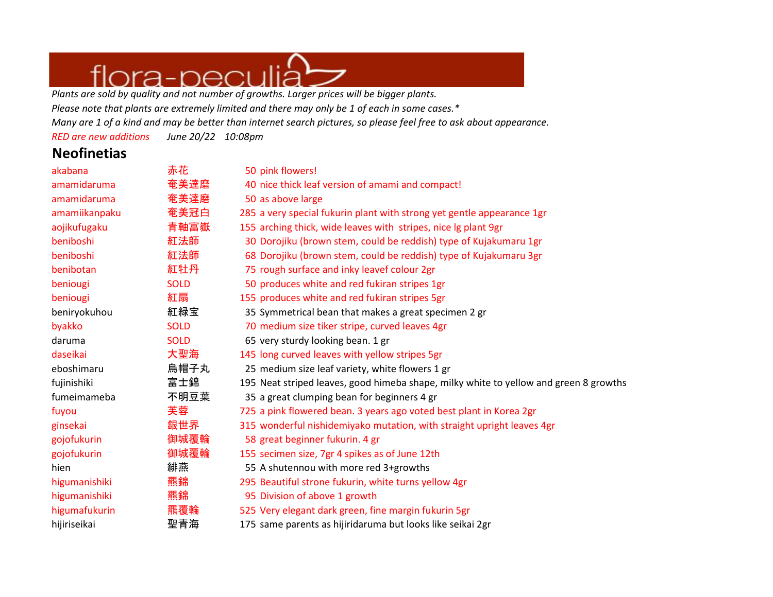# *<u><i><u>I</u> <i>Neculia*</del></u>

*Plants are sold by quality and not number of growths. Larger prices will be bigger plants. Please note that plants are extremely limited and there may only be 1 of each in some cases.\* Many are 1 of a kind and may be better than internet search pictures, so please feel free to ask about appearance.*

*RED are new additions June 20/22 10:08pm*

## **Neofinetias**

| akabana       | 赤花          | 50 pink flowers!                                                                      |
|---------------|-------------|---------------------------------------------------------------------------------------|
| amamidaruma   | 奄美達磨        | 40 nice thick leaf version of amami and compact!                                      |
| amamidaruma   | 奄美達磨        | 50 as above large                                                                     |
| amamiikanpaku | 奄美冠白        | 285 a very special fukurin plant with strong yet gentle appearance 1gr                |
| aojikufugaku  | 青軸富嶽        | 155 arching thick, wide leaves with stripes, nice Ig plant 9gr                        |
| beniboshi     | 紅法師         | 30 Dorojiku (brown stem, could be reddish) type of Kujakumaru 1gr                     |
| beniboshi     | 紅法師         | 68 Dorojiku (brown stem, could be reddish) type of Kujakumaru 3gr                     |
| benibotan     | 紅牡丹         | 75 rough surface and inky leavef colour 2gr                                           |
| beniougi      | <b>SOLD</b> | 50 produces white and red fukiran stripes 1gr                                         |
| beniougi      | 紅扇          | 155 produces white and red fukiran stripes 5gr                                        |
| beniryokuhou  | 紅緑宝         | 35 Symmetrical bean that makes a great specimen 2 gr                                  |
| byakko        | <b>SOLD</b> | 70 medium size tiker stripe, curved leaves 4gr                                        |
| daruma        | <b>SOLD</b> | 65 very sturdy looking bean. 1 gr                                                     |
| daseikai      | 大聖海         | 145 long curved leaves with yellow stripes 5gr                                        |
| eboshimaru    | 烏帽子丸        | 25 medium size leaf variety, white flowers 1 gr                                       |
| fujinishiki   | 富士錦         | 195 Neat striped leaves, good himeba shape, milky white to yellow and green 8 growths |
| fumeimameba   | 不明豆葉        | 35 a great clumping bean for beginners 4 gr                                           |
| fuyou         | 芙蓉          | 725 a pink flowered bean. 3 years ago voted best plant in Korea 2gr                   |
| ginsekai      | 銀世界         | 315 wonderful nishidemiyako mutation, with straight upright leaves 4gr                |
| gojofukurin   | 御城覆輪        | 58 great beginner fukurin. 4 gr                                                       |
| gojofukurin   | 御城覆輪        | 155 secimen size, 7gr 4 spikes as of June 12th                                        |
| hien          | 緋燕          | 55 A shutennou with more red 3+growths                                                |
| higumanishiki | 羆錦          | 295 Beautiful strone fukurin, white turns yellow 4gr                                  |
| higumanishiki | 羆錦          | 95 Division of above 1 growth                                                         |
| higumafukurin | 羆覆輪         | 525 Very elegant dark green, fine margin fukurin 5gr                                  |
| hijiriseikai  | 聖青海         | 175 same parents as hijiridaruma but looks like seikai 2gr                            |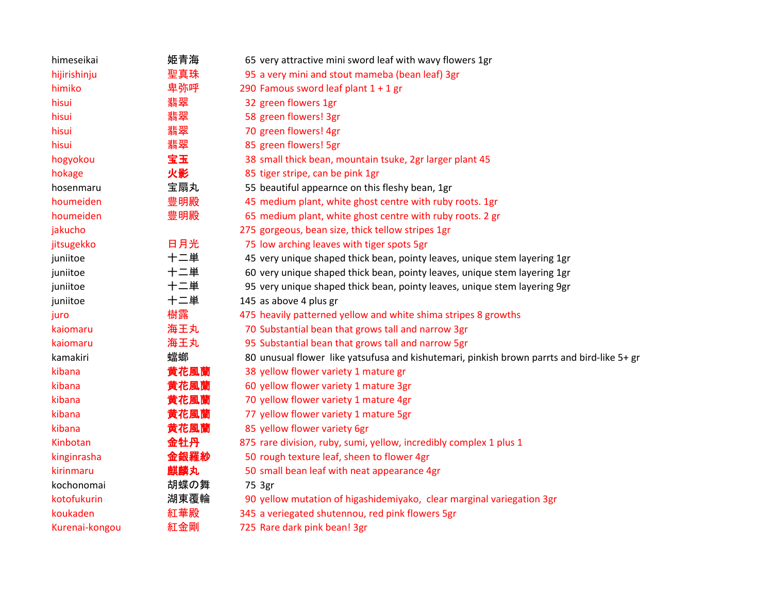| himeseikai     | 姫青海  | 65 very attractive mini sword leaf with wavy flowers 1gr                                   |
|----------------|------|--------------------------------------------------------------------------------------------|
| hijirishinju   | 聖真珠  | 95 a very mini and stout mameba (bean leaf) 3gr                                            |
| himiko         | 卑弥呼  | 290 Famous sword leaf plant 1 + 1 gr                                                       |
| hisui          | 翡翠   | 32 green flowers 1gr                                                                       |
| hisui          | 翡翠   | 58 green flowers! 3gr                                                                      |
| hisui          | 翡翠   | 70 green flowers! 4gr                                                                      |
| hisui          | 翡翠   | 85 green flowers! 5gr                                                                      |
| hogyokou       | 宝宝   | 38 small thick bean, mountain tsuke, 2gr larger plant 45                                   |
| hokage         | 火影   | 85 tiger stripe, can be pink 1gr                                                           |
| hosenmaru      | 宝扇丸  | 55 beautiful appearnce on this fleshy bean, 1gr                                            |
| houmeiden      | 豊明殿  | 45 medium plant, white ghost centre with ruby roots. 1gr                                   |
| houmeiden      | 豊明殿  | 65 medium plant, white ghost centre with ruby roots. 2 gr                                  |
| jakucho        |      | 275 gorgeous, bean size, thick tellow stripes 1gr                                          |
| jitsugekko     | 日月光  | 75 low arching leaves with tiger spots 5gr                                                 |
| juniitoe       | 十二単  | 45 very unique shaped thick bean, pointy leaves, unique stem layering 1gr                  |
| juniitoe       | 十二単  | 60 very unique shaped thick bean, pointy leaves, unique stem layering 1gr                  |
| juniitoe       | 十二単  | 95 very unique shaped thick bean, pointy leaves, unique stem layering 9gr                  |
| juniitoe       | 十二単  | 145 as above 4 plus gr                                                                     |
| juro           | 樹露   | 475 heavily patterned yellow and white shima stripes 8 growths                             |
| kaiomaru       | 海王丸  | 70 Substantial bean that grows tall and narrow 3gr                                         |
| kaiomaru       | 海王丸  | 95 Substantial bean that grows tall and narrow 5gr                                         |
| kamakiri       | 蟷螂   | 80 unusual flower like yatsufusa and kishutemari, pinkish brown parrts and bird-like 5+ gr |
| kibana         | 黄花風蘭 | 38 yellow flower variety 1 mature gr                                                       |
| kibana         | 黄花風蘭 | 60 yellow flower variety 1 mature 3gr                                                      |
| kibana         | 黄花風蘭 | 70 yellow flower variety 1 mature 4gr                                                      |
| kibana         | 黄花風蘭 | 77 yellow flower variety 1 mature 5gr                                                      |
| kibana         | 黄花風蘭 | 85 yellow flower variety 6gr                                                               |
| Kinbotan       | 金牡丹  | 875 rare division, ruby, sumi, yellow, incredibly complex 1 plus 1                         |
| kinginrasha    | 金銀羅紗 | 50 rough texture leaf, sheen to flower 4gr                                                 |
| kirinmaru      | 麒麟丸  | 50 small bean leaf with neat appearance 4gr                                                |
| kochonomai     | 胡蝶の舞 | 75 3gr                                                                                     |
| kotofukurin    | 湖東覆輪 | 90 yellow mutation of higashidemiyako, clear marginal variegation 3gr                      |
| koukaden       | 紅華殿  | 345 a veriegated shutennou, red pink flowers 5gr                                           |
| Kurenai-kongou | 紅金剛  | 725 Rare dark pink bean! 3gr                                                               |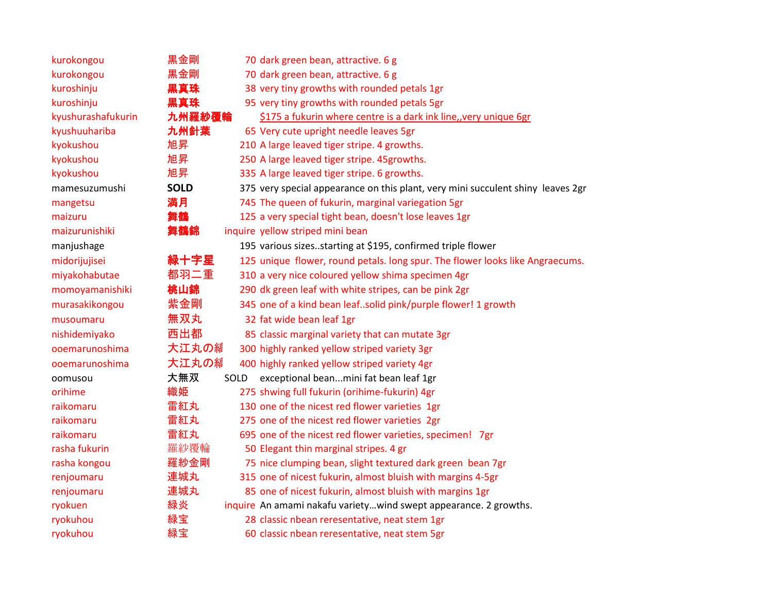| kurokongou         | 黒金剛         |      | 70 dark green bean, attractive. 6 g                                             |
|--------------------|-------------|------|---------------------------------------------------------------------------------|
| kurokongou         | 黒金剛         |      | 70 dark green bean, attractive. 6 g                                             |
| kuroshinju         | 黒真珠         |      | 38 very tiny growths with rounded petals 1gr                                    |
| kuroshinju         | 黒真珠         |      | 95 very tiny growths with rounded petals 5gr                                    |
| kyushurashafukurin | 九州羅紗覆輪      |      | \$175 a fukurin where centre is a dark ink line, very unique 6gr                |
| kyushuuhariba      | 九州針葉        |      | 65 Very cute upright needle leaves 5gr                                          |
| kyokushou          | 旭昇          |      | 210 A large leaved tiger stripe. 4 growths.                                     |
| kyokushou          | 旭昇          |      | 250 A large leaved tiger stripe. 45growths.                                     |
| kyokushou          | 旭昇          |      | 335 A large leaved tiger stripe. 6 growths.                                     |
| mamesuzumushi      | <b>SOLD</b> |      | 375 very special appearance on this plant, very mini succulent shiny leaves 2gr |
| mangetsu           | 満月          |      | 745 The queen of fukurin, marginal variegation 5gr                              |
| maizuru            | 舞鶴          |      | 125 a very special tight bean, doesn't lose leaves 1gr                          |
| maizurunishiki     | 舞鶴錦         |      | inquire yellow striped mini bean                                                |
| manjushage         |             |      | 195 various sizesstarting at \$195, confirmed triple flower                     |
| midorijujisei      | 緑十字星        |      | 125 unique flower, round petals. long spur. The flower looks like Angraecums.   |
| miyakohabutae      | 都羽二重        |      | 310 a very nice coloured yellow shima specimen 4gr                              |
| momoyamanishiki    | 桃山錦         |      | 290 dk green leaf with white stripes, can be pink 2gr                           |
| murasakikongou     | 紫金剛         |      | 345 one of a kind bean leafsolid pink/purple flower! 1 growth                   |
| musoumaru          | 無双丸         |      | 32 fat wide bean leaf 1gr                                                       |
| nishidemiyako      | 西出都         |      | 85 classic marginal variety that can mutate 3gr                                 |
| ooemarunoshima     | 大江丸の編       |      | 300 highly ranked yellow striped variety 3gr                                    |
| ooemarunoshima     | 大江丸の編       |      | 400 highly ranked yellow striped variety 4gr                                    |
| oomusou            | 大無双         | SOLD | exceptional beanmini fat bean leaf 1gr                                          |
| orihime            | 織姫          |      | 275 shwing full fukurin (orihime-fukurin) 4gr                                   |
| raikomaru          | 雷紅丸         |      | 130 one of the nicest red flower varieties 1gr                                  |
| raikomaru          | 雷紅丸         |      | 275 one of the nicest red flower varieties 2gr                                  |
| raikomaru          | 雷紅丸         |      | 695 one of the nicest red flower varieties, specimen! 7gr                       |
| rasha fukurin      | 羅紗覆輪        |      | 50 Elegant thin marginal stripes. 4 gr                                          |
| rasha kongou       | 羅紗金剛        |      | 75 nice clumping bean, slight textured dark green bean 7gr                      |
| renjoumaru         | 連城丸         |      | 315 one of nicest fukurin, almost bluish with margins 4-5gr                     |
| renjoumaru         | 連城丸         |      | 85 one of nicest fukurin, almost bluish with margins 1gr                        |
| ryokuen            | 緑炎          |      | inquire An amami nakafu varietywind swept appearance. 2 growths.                |
| ryokuhou           | 緑宝          |      | 28 classic nbean reresentative, neat stem 1gr                                   |
| ryokuhou           | 緑宝          |      | 60 classic nbean reresentative, neat stem 5gr                                   |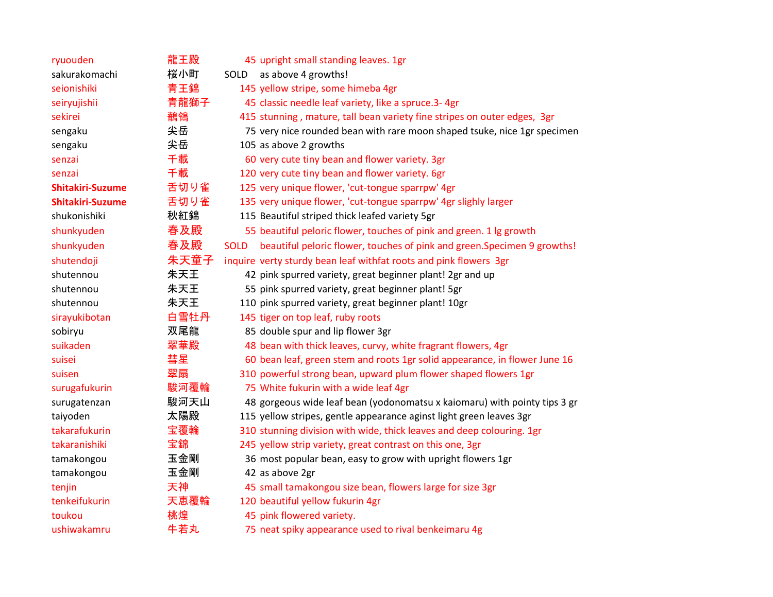| ryuouden                | 龍王殿  |             | 45 upright small standing leaves. 1gr                                      |
|-------------------------|------|-------------|----------------------------------------------------------------------------|
| sakurakomachi           | 桜小町  | SOLD        | as above 4 growths!                                                        |
| seionishiki             | 青王錦  |             | 145 yellow stripe, some himeba 4gr                                         |
| seiryujishii            | 青龍獅子 |             | 45 classic needle leaf variety, like a spruce.3-4gr                        |
| sekirei                 | 鶺鴒   |             | 415 stunning, mature, tall bean variety fine stripes on outer edges, 3gr   |
| sengaku                 | 尖岳   |             | 75 very nice rounded bean with rare moon shaped tsuke, nice 1gr specimen   |
| sengaku                 | 尖岳   |             | 105 as above 2 growths                                                     |
| senzai                  | 千載   |             | 60 very cute tiny bean and flower variety. 3gr                             |
| senzai                  | 千載   |             | 120 very cute tiny bean and flower variety. 6gr                            |
| <b>Shitakiri-Suzume</b> | 舌切り雀 |             | 125 very unique flower, 'cut-tongue sparrpw' 4gr                           |
| Shitakiri-Suzume        | 舌切り雀 |             | 135 very unique flower, 'cut-tongue sparrpw' 4gr slighly larger            |
| shukonishiki            | 秋紅錦  |             | 115 Beautiful striped thick leafed variety 5gr                             |
| shunkyuden              | 春及殿  |             | 55 beautiful peloric flower, touches of pink and green. 1 lg growth        |
| shunkyuden              | 春及殿  | <b>SOLD</b> | beautiful peloric flower, touches of pink and green. Specimen 9 growths!   |
| shutendoji              | 朱天童子 |             | inquire verty sturdy bean leaf withfat roots and pink flowers 3gr          |
| shutennou               | 朱天王  |             | 42 pink spurred variety, great beginner plant! 2gr and up                  |
| shutennou               | 朱天王  |             | 55 pink spurred variety, great beginner plant! 5gr                         |
| shutennou               | 朱天王  |             | 110 pink spurred variety, great beginner plant! 10gr                       |
| sirayukibotan           | 白雪牡丹 |             | 145 tiger on top leaf, ruby roots                                          |
| sobiryu                 | 双尾龍  |             | 85 double spur and lip flower 3gr                                          |
| suikaden                | 翠華殿  |             | 48 bean with thick leaves, curvy, white fragrant flowers, 4gr              |
| suisei                  | 彗星   |             | 60 bean leaf, green stem and roots 1gr solid appearance, in flower June 16 |
| suisen                  | 翠扇   |             | 310 powerful strong bean, upward plum flower shaped flowers 1gr            |
| surugafukurin           | 駿河覆輪 |             | 75 White fukurin with a wide leaf 4gr                                      |
| surugatenzan            | 駿河天山 |             | 48 gorgeous wide leaf bean (yodonomatsu x kaiomaru) with pointy tips 3 gr  |
| taiyoden                | 太陽殿  |             | 115 yellow stripes, gentle appearance aginst light green leaves 3gr        |
| takarafukurin           | 宝覆輪  |             | 310 stunning division with wide, thick leaves and deep colouring. 1gr      |
| takaranishiki           | 宝錦   |             | 245 yellow strip variety, great contrast on this one, 3gr                  |
| tamakongou              | 玉金剛  |             | 36 most popular bean, easy to grow with upright flowers 1gr                |
| tamakongou              | 玉金剛  |             | 42 as above 2gr                                                            |
| tenjin                  | 天神   |             | 45 small tamakongou size bean, flowers large for size 3gr                  |
| tenkeifukurin           | 天恵覆輪 |             | 120 beautiful yellow fukurin 4gr                                           |
| toukou                  | 桃煌   |             | 45 pink flowered variety.                                                  |
| ushiwakamru             | 牛若丸  |             | 75 neat spiky appearance used to rival benkeimaru 4g                       |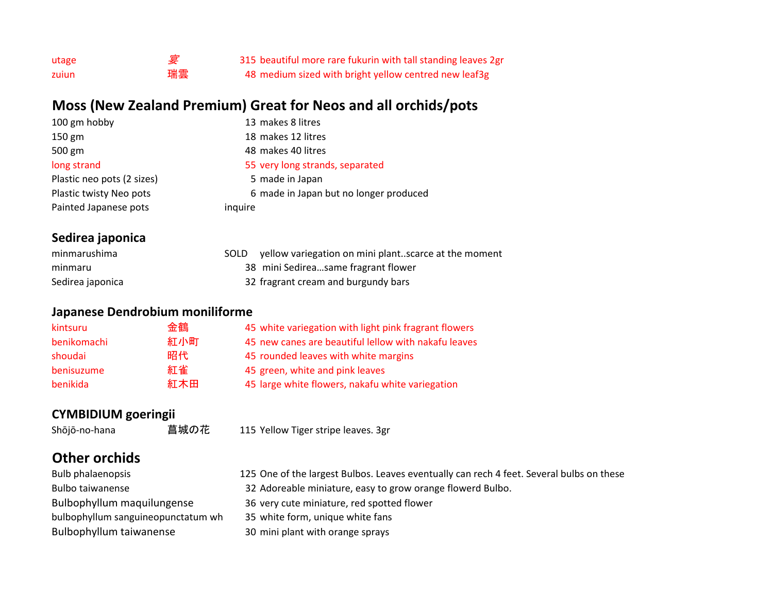| utage | 它  | 315 beautiful more rare fukurin with tall standing leaves 2gr |
|-------|----|---------------------------------------------------------------|
| zuiun | 瑞雲 | 48 medium sized with bright yellow centred new leaf3g         |

## **Moss (New Zealand Premium) Great for Neos and all orchids/pots**

| 100 gm hobby               | 13 makes 8 litres                      |
|----------------------------|----------------------------------------|
| $150$ gm                   | 18 makes 12 litres                     |
| 500 gm                     | 48 makes 40 litres                     |
| long strand                | 55 very long strands, separated        |
| Plastic neo pots (2 sizes) | 5 made in Japan                        |
| Plastic twisty Neo pots    | 6 made in Japan but no longer produced |
| Painted Japanese pots      | inquire                                |
|                            |                                        |

#### **Sedirea japonica**

| minmarushima     | SOLD yellow variegation on mini plantscarce at the moment |
|------------------|-----------------------------------------------------------|
| minmaru          | 38 mini Sedireasame fragrant flower                       |
| Sedirea japonica | 32 fragrant cream and burgundy bars                       |

#### **Japanese Dendrobium moniliforme**

| kintsuru    | 金鶴  | 45 white variegation with light pink fragrant flowers |
|-------------|-----|-------------------------------------------------------|
| benikomachi | 紅小町 | 45 new canes are beautiful lellow with nakafu leaves  |
| shoudai     | 昭代  | 45 rounded leaves with white margins                  |
| benisuzume  | 紅雀  | 45 green, white and pink leaves                       |
| benikida    | 紅木田 | 45 large white flowers, nakafu white variegation      |

# **CYMBIDIUM goeringii**

Shōjō-no-hana 菖城の花 115 Yellow Tiger stripe leaves. 3gr

## **Other orchids**

| <b>Bulb phalaenopsis</b>           | 125 One of the largest Bulbos. Leaves eventually can rech 4 feet. Several bulbs on these |
|------------------------------------|------------------------------------------------------------------------------------------|
| <b>Bulbo taiwanense</b>            | 32 Adoreable miniature, easy to grow orange flowerd Bulbo.                               |
| Bulbophyllum maquilungense         | 36 very cute miniature, red spotted flower                                               |
| bulbophyllum sanguineopunctatum wh | 35 white form, unique white fans                                                         |
| Bulbophyllum taiwanense            | 30 mini plant with orange sprays                                                         |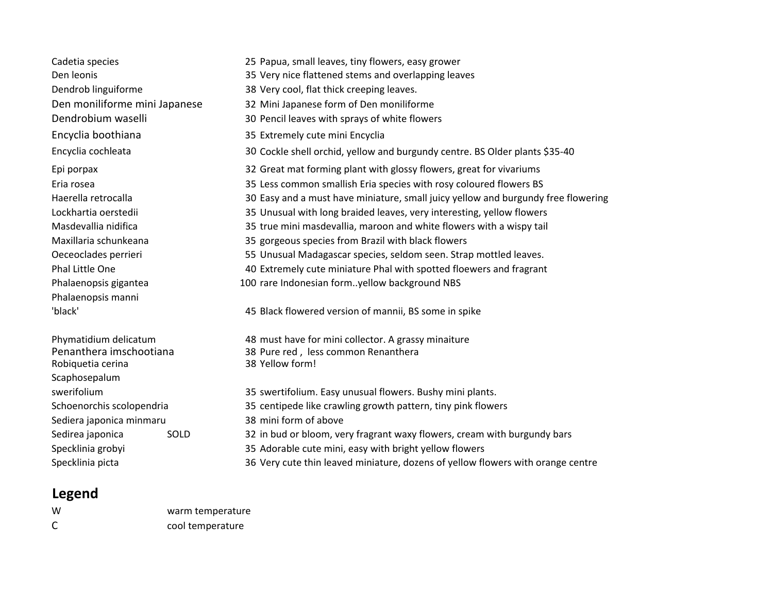| Cadetia species               | 25 Papua, small leaves, tiny flowers, easy grower                                 |  |
|-------------------------------|-----------------------------------------------------------------------------------|--|
| Den leonis                    | 35 Very nice flattened stems and overlapping leaves                               |  |
| Dendrob linguiforme           | 38 Very cool, flat thick creeping leaves.                                         |  |
| Den moniliforme mini Japanese | 32 Mini Japanese form of Den moniliforme                                          |  |
| Dendrobium waselli            | 30 Pencil leaves with sprays of white flowers                                     |  |
| Encyclia boothiana            | 35 Extremely cute mini Encyclia                                                   |  |
| Encyclia cochleata            | 30 Cockle shell orchid, yellow and burgundy centre. BS Older plants \$35-40       |  |
| Epi porpax                    | 32 Great mat forming plant with glossy flowers, great for vivariums               |  |
| Eria rosea                    | 35 Less common smallish Eria species with rosy coloured flowers BS                |  |
| Haerella retrocalla           | 30 Easy and a must have miniature, small juicy yellow and burgundy free flowering |  |
| Lockhartia oerstedii          | 35 Unusual with long braided leaves, very interesting, yellow flowers             |  |
| Masdevallia nidifica          | 35 true mini masdevallia, maroon and white flowers with a wispy tail              |  |
| Maxillaria schunkeana         | 35 gorgeous species from Brazil with black flowers                                |  |
| Oeceoclades perrieri          | 55 Unusual Madagascar species, seldom seen. Strap mottled leaves.                 |  |
| Phal Little One               | 40 Extremely cute miniature Phal with spotted floewers and fragrant               |  |
| Phalaenopsis gigantea         | 100 rare Indonesian formyellow background NBS                                     |  |
| Phalaenopsis manni            |                                                                                   |  |
| 'black'                       | 45 Black flowered version of mannii, BS some in spike                             |  |
| Phymatidium delicatum         | 48 must have for mini collector. A grassy minaiture                               |  |
| Penanthera imschootiana       | 38 Pure red, less common Renanthera                                               |  |
| Robiquetia cerina             | 38 Yellow form!                                                                   |  |
| Scaphosepalum                 |                                                                                   |  |
| swerifolium                   | 35 swertifolium. Easy unusual flowers. Bushy mini plants.                         |  |
| Schoenorchis scolopendria     | 35 centipede like crawling growth pattern, tiny pink flowers                      |  |
| Sediera japonica minmaru      | 38 mini form of above                                                             |  |
| Sedirea japonica<br>SOLD      | 32 in bud or bloom, very fragrant waxy flowers, cream with burgundy bars          |  |
| Specklinia grobyi             | 35 Adorable cute mini, easy with bright yellow flowers                            |  |
| Specklinia picta              | 36 Very cute thin leaved miniature, dozens of yellow flowers with orange centre   |  |

# **Legend**

| W | warm temperature |
|---|------------------|
|   | cool temperature |